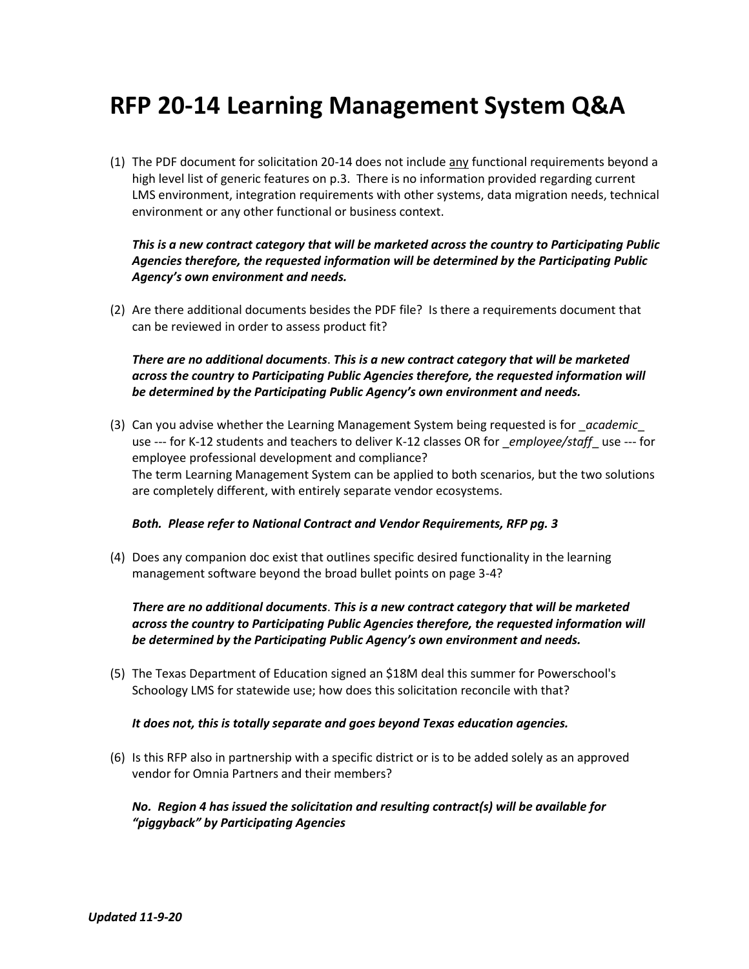# **RFP 20-14 Learning Management System Q&A**

(1) The PDF document for solicitation 20-14 does not include any functional requirements beyond a high level list of generic features on p.3. There is no information provided regarding current LMS environment, integration requirements with other systems, data migration needs, technical environment or any other functional or business context.

## *This is a new contract category that will be marketed across the country to Participating Public Agencies therefore, the requested information will be determined by the Participating Public Agency's own environment and needs.*

(2) Are there additional documents besides the PDF file? Is there a requirements document that can be reviewed in order to assess product fit?

## *There are no additional documents*. *This is a new contract category that will be marketed across the country to Participating Public Agencies therefore, the requested information will be determined by the Participating Public Agency's own environment and needs.*

(3) Can you advise whether the Learning Management System being requested is for \_*academic*\_ use --- for K-12 students and teachers to deliver K-12 classes OR for \_*employee/staff*\_ use --- for employee professional development and compliance? The term Learning Management System can be applied to both scenarios, but the two solutions are completely different, with entirely separate vendor ecosystems.

#### *Both. Please refer to National Contract and Vendor Requirements, RFP pg. 3*

(4) Does any companion doc exist that outlines specific desired functionality in the learning management software beyond the broad bullet points on page 3-4?

## *There are no additional documents*. *This is a new contract category that will be marketed across the country to Participating Public Agencies therefore, the requested information will be determined by the Participating Public Agency's own environment and needs.*

(5) The Texas Department of Education signed an \$18M deal this summer for Powerschool's Schoology LMS for statewide use; how does this solicitation reconcile with that?

#### *It does not, this is totally separate and goes beyond Texas education agencies.*

(6) Is this RFP also in partnership with a specific district or is to be added solely as an approved vendor for Omnia Partners and their members?

## *No. Region 4 has issued the solicitation and resulting contract(s) will be available for "piggyback" by Participating Agencies*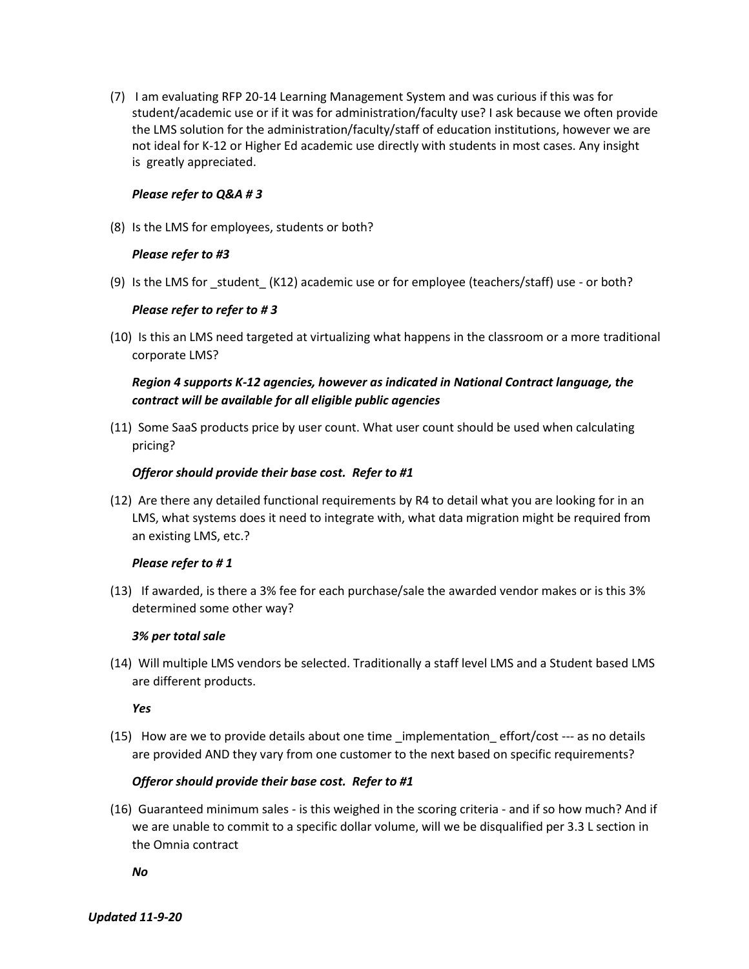(7) I am evaluating RFP 20-14 Learning Management System and was curious if this was for student/academic use or if it was for administration/faculty use? I ask because we often provide the LMS solution for the administration/faculty/staff of education institutions, however we are not ideal for K-12 or Higher Ed academic use directly with students in most cases. Any insight is greatly appreciated.

### *Please refer to Q&A # 3*

(8) Is the LMS for employees, students or both?

## *Please refer to #3*

(9) Is the LMS for \_student\_ (K12) academic use or for employee (teachers/staff) use - or both?

## *Please refer to refer to # 3*

(10) Is this an LMS need targeted at virtualizing what happens in the classroom or a more traditional corporate LMS?

# *Region 4 supports K-12 agencies, however as indicated in National Contract language, the contract will be available for all eligible public agencies*

(11) Some SaaS products price by user count. What user count should be used when calculating pricing?

## *Offeror should provide their base cost. Refer to #1*

(12) Are there any detailed functional requirements by R4 to detail what you are looking for in an LMS, what systems does it need to integrate with, what data migration might be required from an existing LMS, etc.?

# *Please refer to # 1*

(13) If awarded, is there a 3% fee for each purchase/sale the awarded vendor makes or is this 3% determined some other way?

# *3% per total sale*

(14) Will multiple LMS vendors be selected. Traditionally a staff level LMS and a Student based LMS are different products.

#### *Yes*

 $(15)$  How are we to provide details about one time implementation effort/cost  $-$ -- as no details are provided AND they vary from one customer to the next based on specific requirements?

# *Offeror should provide their base cost. Refer to #1*

(16) Guaranteed minimum sales - is this weighed in the scoring criteria - and if so how much? And if we are unable to commit to a specific dollar volume, will we be disqualified per 3.3 L section in the Omnia contract

*No*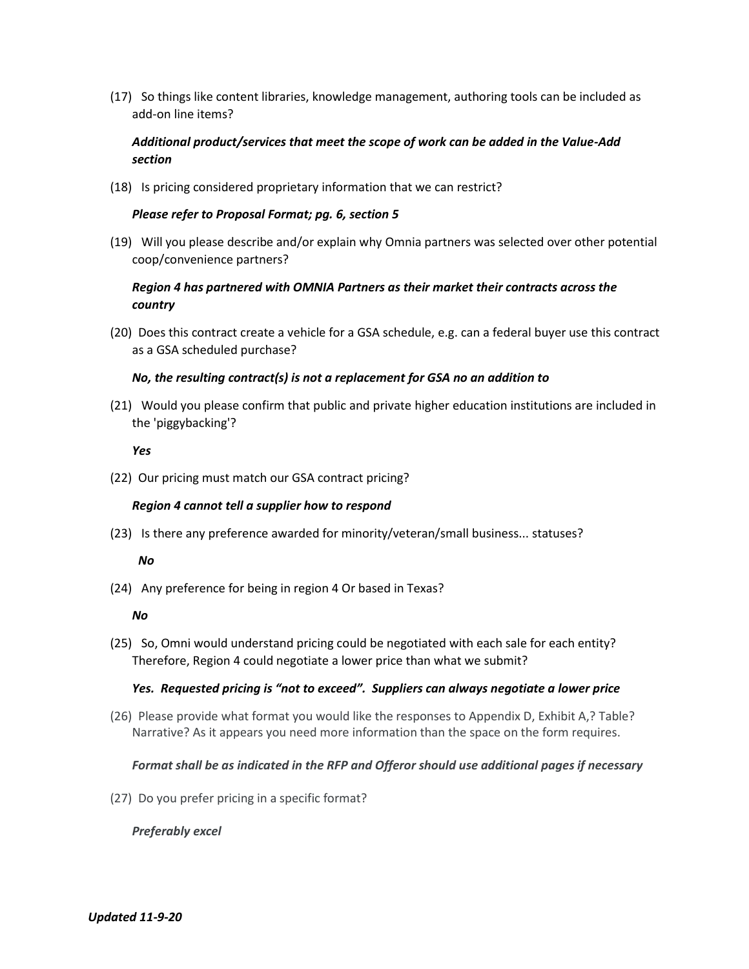(17) So things like content libraries, knowledge management, authoring tools can be included as add-on line items?

# *Additional product/services that meet the scope of work can be added in the Value-Add section*

(18) Is pricing considered proprietary information that we can restrict?

#### *Please refer to Proposal Format; pg. 6, section 5*

(19) Will you please describe and/or explain why Omnia partners was selected over other potential coop/convenience partners?

# *Region 4 has partnered with OMNIA Partners as their market their contracts across the country*

(20) Does this contract create a vehicle for a GSA schedule, e.g. can a federal buyer use this contract as a GSA scheduled purchase?

#### *No, the resulting contract(s) is not a replacement for GSA no an addition to*

(21) Would you please confirm that public and private higher education institutions are included in the 'piggybacking'?

#### *Yes*

(22) Our pricing must match our GSA contract pricing?

#### *Region 4 cannot tell a supplier how to respond*

(23) Is there any preference awarded for minority/veteran/small business... statuses?

#### *No*

(24) Any preference for being in region 4 Or based in Texas?

#### *No*

(25) So, Omni would understand pricing could be negotiated with each sale for each entity? Therefore, Region 4 could negotiate a lower price than what we submit?

#### *Yes. Requested pricing is "not to exceed". Suppliers can always negotiate a lower price*

(26) Please provide what format you would like the responses to Appendix D, Exhibit A,? Table? Narrative? As it appears you need more information than the space on the form requires.

#### *Format shall be as indicated in the RFP and Offeror should use additional pages if necessary*

(27) Do you prefer pricing in a specific format?

#### *Preferably excel*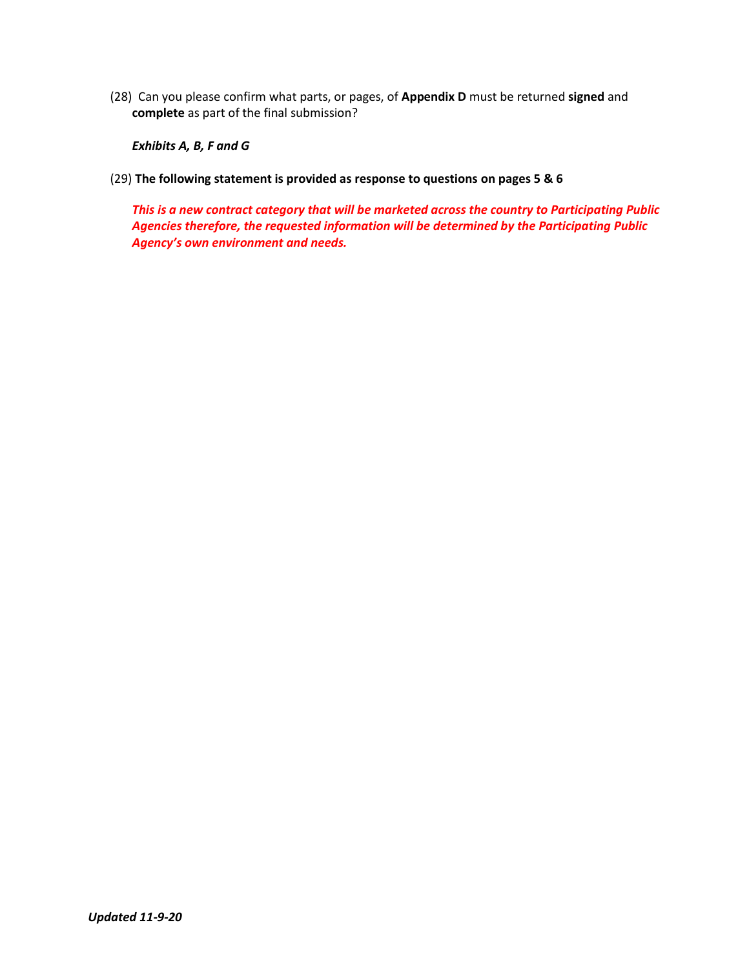(28) Can you please confirm what parts, or pages, of **Appendix D** must be returned **signed** and **complete** as part of the final submission?

*Exhibits A, B, F and G*

(29) **The following statement is provided as response to questions on pages 5 & 6**

*This is a new contract category that will be marketed across the country to Participating Public Agencies therefore, the requested information will be determined by the Participating Public Agency's own environment and needs.*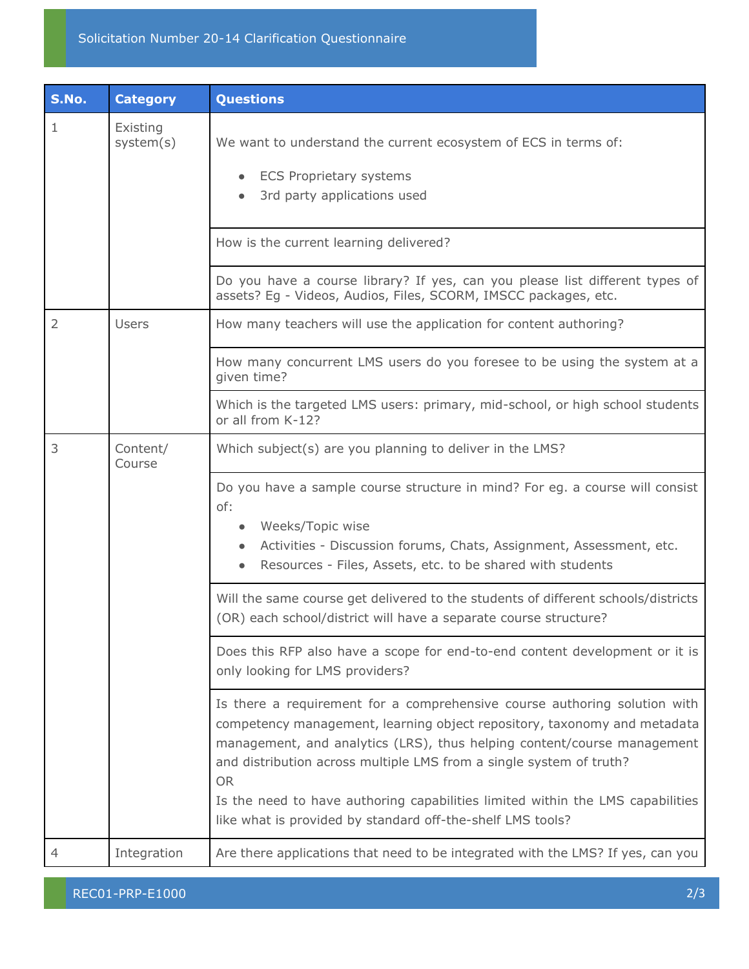| S.No.          | <b>Category</b>       | <b>Questions</b>                                                                                                                                                                                                                                                                                                                                                                                                                                                     |
|----------------|-----------------------|----------------------------------------------------------------------------------------------------------------------------------------------------------------------------------------------------------------------------------------------------------------------------------------------------------------------------------------------------------------------------------------------------------------------------------------------------------------------|
| 1              | Existing<br>system(s) | We want to understand the current ecosystem of ECS in terms of:<br><b>ECS Proprietary systems</b><br>3rd party applications used                                                                                                                                                                                                                                                                                                                                     |
|                |                       | How is the current learning delivered?                                                                                                                                                                                                                                                                                                                                                                                                                               |
|                |                       | Do you have a course library? If yes, can you please list different types of<br>assets? Eg - Videos, Audios, Files, SCORM, IMSCC packages, etc.                                                                                                                                                                                                                                                                                                                      |
| $\overline{2}$ | <b>Users</b>          | How many teachers will use the application for content authoring?                                                                                                                                                                                                                                                                                                                                                                                                    |
|                |                       | How many concurrent LMS users do you foresee to be using the system at a<br>given time?                                                                                                                                                                                                                                                                                                                                                                              |
|                |                       | Which is the targeted LMS users: primary, mid-school, or high school students<br>or all from K-12?                                                                                                                                                                                                                                                                                                                                                                   |
| 3              | Content/<br>Course    | Which subject(s) are you planning to deliver in the LMS?                                                                                                                                                                                                                                                                                                                                                                                                             |
|                |                       | Do you have a sample course structure in mind? For eg. a course will consist<br>of:<br>Weeks/Topic wise<br>Activities - Discussion forums, Chats, Assignment, Assessment, etc.<br>Resources - Files, Assets, etc. to be shared with students                                                                                                                                                                                                                         |
|                |                       | Will the same course get delivered to the students of different schools/districts<br>(OR) each school/district will have a separate course structure?                                                                                                                                                                                                                                                                                                                |
|                |                       | Does this RFP also have a scope for end-to-end content development or it is<br>only looking for LMS providers?                                                                                                                                                                                                                                                                                                                                                       |
|                |                       | Is there a requirement for a comprehensive course authoring solution with<br>competency management, learning object repository, taxonomy and metadata<br>management, and analytics (LRS), thus helping content/course management<br>and distribution across multiple LMS from a single system of truth?<br><b>OR</b><br>Is the need to have authoring capabilities limited within the LMS capabilities<br>like what is provided by standard off-the-shelf LMS tools? |
| 4              | Integration           | Are there applications that need to be integrated with the LMS? If yes, can you                                                                                                                                                                                                                                                                                                                                                                                      |